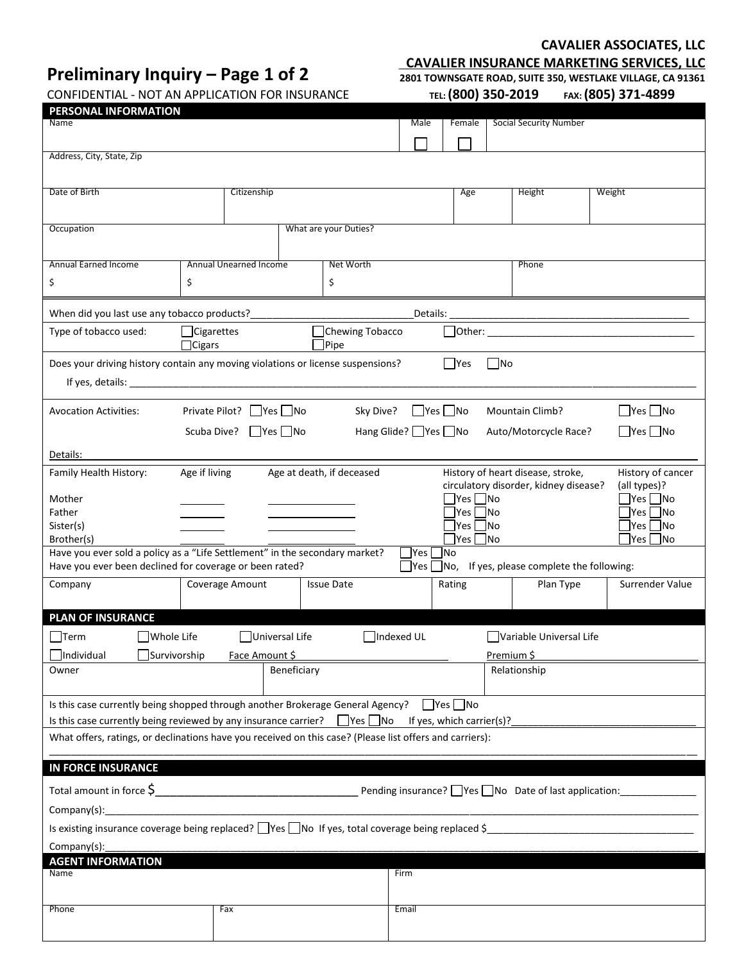# **Preliminary Inquiry – Page 1 of 2**

### **CAVALIER ASSOCIATES, LLC**

**CAVALIER INSURANCE MARKETING SERVICES, LLC 2801 TOWNSGATE ROAD, SUITE 350, WESTLAKE VILLAGE, CA 91361** 

CONFIDENTIAL - NOT AN APPLICATION FOR INSURANCE

 **TEL: (800) 350-2019 FAX: (805) 371-4899**

| <b>Social Security Number</b><br>Name<br>Male<br>Female<br>Address, City, State, Zip<br>Citizenship<br>Date of Birth<br>Age<br>Height<br>Weight<br>What are your Duties?<br>Occupation<br><b>Annual Earned Income</b><br>Annual Unearned Income<br>Net Worth<br>Phone<br>\$<br>\$<br>\$ |  |  |  |  |  |
|-----------------------------------------------------------------------------------------------------------------------------------------------------------------------------------------------------------------------------------------------------------------------------------------|--|--|--|--|--|
|                                                                                                                                                                                                                                                                                         |  |  |  |  |  |
|                                                                                                                                                                                                                                                                                         |  |  |  |  |  |
|                                                                                                                                                                                                                                                                                         |  |  |  |  |  |
|                                                                                                                                                                                                                                                                                         |  |  |  |  |  |
|                                                                                                                                                                                                                                                                                         |  |  |  |  |  |
|                                                                                                                                                                                                                                                                                         |  |  |  |  |  |
|                                                                                                                                                                                                                                                                                         |  |  |  |  |  |
|                                                                                                                                                                                                                                                                                         |  |  |  |  |  |
|                                                                                                                                                                                                                                                                                         |  |  |  |  |  |
|                                                                                                                                                                                                                                                                                         |  |  |  |  |  |
| When did you last use any tobacco products?<br>Details:                                                                                                                                                                                                                                 |  |  |  |  |  |
| □Cigarettes<br>Type of tobacco used:<br>Chewing Tobacco                                                                                                                                                                                                                                 |  |  |  |  |  |
| $\Box$ Cigars<br>Pipe                                                                                                                                                                                                                                                                   |  |  |  |  |  |
| $\Box$ Yes<br>$\Box$ No<br>Does your driving history contain any moving violations or license suspensions?                                                                                                                                                                              |  |  |  |  |  |
| If yes, details: the contract of the contract of the contract of the contract of the contract of the contract of the contract of the contract of the contract of the contract of the contract of the contract of the contract                                                           |  |  |  |  |  |
|                                                                                                                                                                                                                                                                                         |  |  |  |  |  |
| $\Box$ Yes $\Box$ No<br>Private Pilot?     Yes     No<br>Sky Dive?<br>$\Box$ Yes $\Box$ No<br><b>Avocation Activities:</b><br>Mountain Climb?                                                                                                                                           |  |  |  |  |  |
| Hang Glide? Ves no<br>$\Box$ Yes $\Box$ No<br>Scuba Dive?       Yes     No<br>Auto/Motorcycle Race?                                                                                                                                                                                     |  |  |  |  |  |
| Details:                                                                                                                                                                                                                                                                                |  |  |  |  |  |
| History of heart disease, stroke,<br>Family Health History:<br>Age if living<br>Age at death, if deceased<br>History of cancer<br>circulatory disorder, kidney disease?                                                                                                                 |  |  |  |  |  |
| (all types)?<br>$\exists$ Yes $\Box$ No<br>Mother                                                                                                                                                                                                                                       |  |  |  |  |  |
| $\exists$ Yes $\Box$ No<br> Yes   No<br>Father                                                                                                                                                                                                                                          |  |  |  |  |  |
| $\exists$ Yes $\Box$ No<br>Sister(s)                                                                                                                                                                                                                                                    |  |  |  |  |  |
| $\Box$ Yes $\Box$ No<br>$\exists$ Yes $\Box$ No<br>Brother(s)<br>Have you ever sold a policy as a "Life Settlement" in the secondary market?<br> Yes<br><b>INo</b>                                                                                                                      |  |  |  |  |  |
| Have you ever been declined for coverage or been rated?<br> Yes <br>$\Box$ No, If yes, please complete the following:                                                                                                                                                                   |  |  |  |  |  |
| Coverage Amount<br>Surrender Value<br>Company<br><b>Issue Date</b><br>Rating<br>Plan Type                                                                                                                                                                                               |  |  |  |  |  |
|                                                                                                                                                                                                                                                                                         |  |  |  |  |  |
| <b>PLAN OF INSURANCE</b>                                                                                                                                                                                                                                                                |  |  |  |  |  |
| Whole Life<br>Universal Life<br>Indexed UL<br>lTerm<br>  Variable Universal Life                                                                                                                                                                                                        |  |  |  |  |  |
| Face Amount \$<br>Premium \$<br>Individual<br>Survivorship                                                                                                                                                                                                                              |  |  |  |  |  |
| Beneficiary<br>Relationship<br>Owner                                                                                                                                                                                                                                                    |  |  |  |  |  |
|                                                                                                                                                                                                                                                                                         |  |  |  |  |  |
| Is this case currently being shopped through another Brokerage General Agency? $\Box$ Yes $\Box$ No                                                                                                                                                                                     |  |  |  |  |  |
| Is this case currently being reviewed by any insurance carrier? $\Box$ Yes $\Box$ No If yes, which carrier(s)?                                                                                                                                                                          |  |  |  |  |  |
| What offers, ratings, or declinations have you received on this case? (Please list offers and carriers):                                                                                                                                                                                |  |  |  |  |  |
|                                                                                                                                                                                                                                                                                         |  |  |  |  |  |
| <b>IN FORCE INSURANCE</b>                                                                                                                                                                                                                                                               |  |  |  |  |  |
| Pending insurance? Ves No Date of last application: Vending insurance? Ves No Date of last application:                                                                                                                                                                                 |  |  |  |  |  |
|                                                                                                                                                                                                                                                                                         |  |  |  |  |  |
| Is existing insurance coverage being replaced? $\Box$ Yes $\Box$ No If yes, total coverage being replaced \$                                                                                                                                                                            |  |  |  |  |  |
| Company(s):                                                                                                                                                                                                                                                                             |  |  |  |  |  |
| <b>AGENT INFORMATION</b>                                                                                                                                                                                                                                                                |  |  |  |  |  |
| Name<br>Firm                                                                                                                                                                                                                                                                            |  |  |  |  |  |
|                                                                                                                                                                                                                                                                                         |  |  |  |  |  |
|                                                                                                                                                                                                                                                                                         |  |  |  |  |  |
| Phone<br>Fax<br>Email                                                                                                                                                                                                                                                                   |  |  |  |  |  |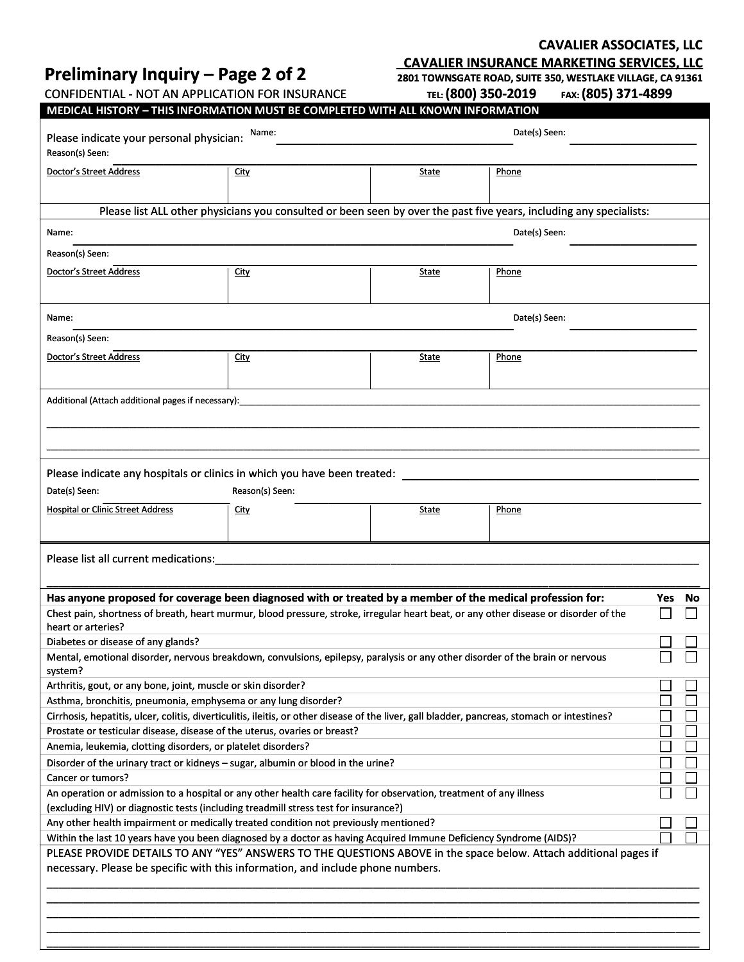# **Preliminary Inquiry – Page 2 of 2**

**CAVALIER ASSOCIATES, LLC**

**CAVALIER INSURANCE MARKETING SERVICES, LLC 2801 TOWNSGATE ROAD, SUITE 350, WESTLAKE VILLAGE, CA 91361** 

CONFIDENTIAL - NOT AN APPLICATION FOR INSURANCE

 **TEL: (800) 350-2019 FAX: (805) 371-4899**

| LUIJ |  | FAX: (OUJ) J/ 1-40JJ |
|------|--|----------------------|
|      |  |                      |

| MEDICAL HISTORY - THIS INFORMATION MUST BE COMPLETED WITH ALL KNOWN INFORMATION                                                                                                                                |                 |              |                                                                                                                     |     |        |  |
|----------------------------------------------------------------------------------------------------------------------------------------------------------------------------------------------------------------|-----------------|--------------|---------------------------------------------------------------------------------------------------------------------|-----|--------|--|
| Name:<br>Please indicate your personal physician:                                                                                                                                                              |                 |              | Date(s) Seen:                                                                                                       |     |        |  |
| Reason(s) Seen:                                                                                                                                                                                                |                 |              |                                                                                                                     |     |        |  |
|                                                                                                                                                                                                                |                 |              |                                                                                                                     |     |        |  |
| Doctor's Street Address                                                                                                                                                                                        | <b>City</b>     | State        | Phone                                                                                                               |     |        |  |
|                                                                                                                                                                                                                |                 |              |                                                                                                                     |     |        |  |
|                                                                                                                                                                                                                |                 |              | Please list ALL other physicians you consulted or been seen by over the past five years, including any specialists: |     |        |  |
| Name:                                                                                                                                                                                                          |                 |              | Date(s) Seen:                                                                                                       |     |        |  |
| Reason(s) Seen:                                                                                                                                                                                                |                 |              |                                                                                                                     |     |        |  |
|                                                                                                                                                                                                                |                 |              |                                                                                                                     |     |        |  |
| <b>Doctor's Street Address</b>                                                                                                                                                                                 | <b>City</b>     | State        | Phone                                                                                                               |     |        |  |
|                                                                                                                                                                                                                |                 |              |                                                                                                                     |     |        |  |
| Name:                                                                                                                                                                                                          |                 |              | Date(s) Seen:                                                                                                       |     |        |  |
|                                                                                                                                                                                                                |                 |              |                                                                                                                     |     |        |  |
| Reason(s) Seen:                                                                                                                                                                                                |                 |              |                                                                                                                     |     |        |  |
| <b>Doctor's Street Address</b>                                                                                                                                                                                 | <b>City</b>     | State        | Phone                                                                                                               |     |        |  |
|                                                                                                                                                                                                                |                 |              |                                                                                                                     |     |        |  |
| Additional (Attach additional pages if necessary):                                                                                                                                                             |                 |              |                                                                                                                     |     |        |  |
|                                                                                                                                                                                                                |                 |              |                                                                                                                     |     |        |  |
|                                                                                                                                                                                                                |                 |              |                                                                                                                     |     |        |  |
|                                                                                                                                                                                                                |                 |              |                                                                                                                     |     |        |  |
|                                                                                                                                                                                                                |                 |              |                                                                                                                     |     |        |  |
| Please indicate any hospitals or clinics in which you have been treated:                                                                                                                                       |                 |              |                                                                                                                     |     |        |  |
| Date(s) Seen:                                                                                                                                                                                                  | Reason(s) Seen: |              |                                                                                                                     |     |        |  |
| <b>Hospital or Clinic Street Address</b>                                                                                                                                                                       | <b>City</b>     | <b>State</b> | Phone                                                                                                               |     |        |  |
|                                                                                                                                                                                                                |                 |              |                                                                                                                     |     |        |  |
|                                                                                                                                                                                                                |                 |              |                                                                                                                     |     |        |  |
| Please list all current medications:                                                                                                                                                                           |                 |              |                                                                                                                     |     |        |  |
|                                                                                                                                                                                                                |                 |              |                                                                                                                     |     |        |  |
| Has anyone proposed for coverage been diagnosed with or treated by a member of the medical profession for:                                                                                                     |                 |              |                                                                                                                     | Yes | No     |  |
| Chest pain, shortness of breath, heart murmur, blood pressure, stroke, irregular heart beat, or any other disease or disorder of the                                                                           |                 |              |                                                                                                                     |     |        |  |
| heart or arteries?                                                                                                                                                                                             |                 |              |                                                                                                                     |     |        |  |
| Diabetes or disease of any glands?                                                                                                                                                                             |                 |              |                                                                                                                     |     |        |  |
| Mental, emotional disorder, nervous breakdown, convulsions, epilepsy, paralysis or any other disorder of the brain or nervous                                                                                  |                 |              |                                                                                                                     |     |        |  |
| system?                                                                                                                                                                                                        |                 |              |                                                                                                                     |     |        |  |
| Arthritis, gout, or any bone, joint, muscle or skin disorder?                                                                                                                                                  |                 |              |                                                                                                                     |     |        |  |
| Asthma, bronchitis, pneumonia, emphysema or any lung disorder?<br>Cirrhosis, hepatitis, ulcer, colitis, diverticulitis, ileitis, or other disease of the liver, gall bladder, pancreas, stomach or intestines? |                 |              |                                                                                                                     |     |        |  |
| Prostate or testicular disease, disease of the uterus, ovaries or breast?                                                                                                                                      |                 |              |                                                                                                                     |     |        |  |
| Anemia, leukemia, clotting disorders, or platelet disorders?                                                                                                                                                   |                 |              |                                                                                                                     |     | $\Box$ |  |
| Disorder of the urinary tract or kidneys - sugar, albumin or blood in the urine?                                                                                                                               |                 |              |                                                                                                                     |     |        |  |
| Cancer or tumors?                                                                                                                                                                                              |                 |              |                                                                                                                     |     |        |  |
| An operation or admission to a hospital or any other health care facility for observation, treatment of any illness                                                                                            |                 |              |                                                                                                                     |     |        |  |
| (excluding HIV) or diagnostic tests (including treadmill stress test for insurance?)                                                                                                                           |                 |              |                                                                                                                     |     |        |  |
| Any other health impairment or medically treated condition not previously mentioned?                                                                                                                           |                 |              |                                                                                                                     |     |        |  |
| Within the last 10 years have you been diagnosed by a doctor as having Acquired Immune Deficiency Syndrome (AIDS)?                                                                                             |                 |              |                                                                                                                     |     |        |  |
| PLEASE PROVIDE DETAILS TO ANY "YES" ANSWERS TO THE QUESTIONS ABOVE in the space below. Attach additional pages if                                                                                              |                 |              |                                                                                                                     |     |        |  |
| necessary. Please be specific with this information, and include phone numbers.                                                                                                                                |                 |              |                                                                                                                     |     |        |  |
|                                                                                                                                                                                                                |                 |              |                                                                                                                     |     |        |  |
|                                                                                                                                                                                                                |                 |              |                                                                                                                     |     |        |  |
|                                                                                                                                                                                                                |                 |              |                                                                                                                     |     |        |  |
|                                                                                                                                                                                                                |                 |              |                                                                                                                     |     |        |  |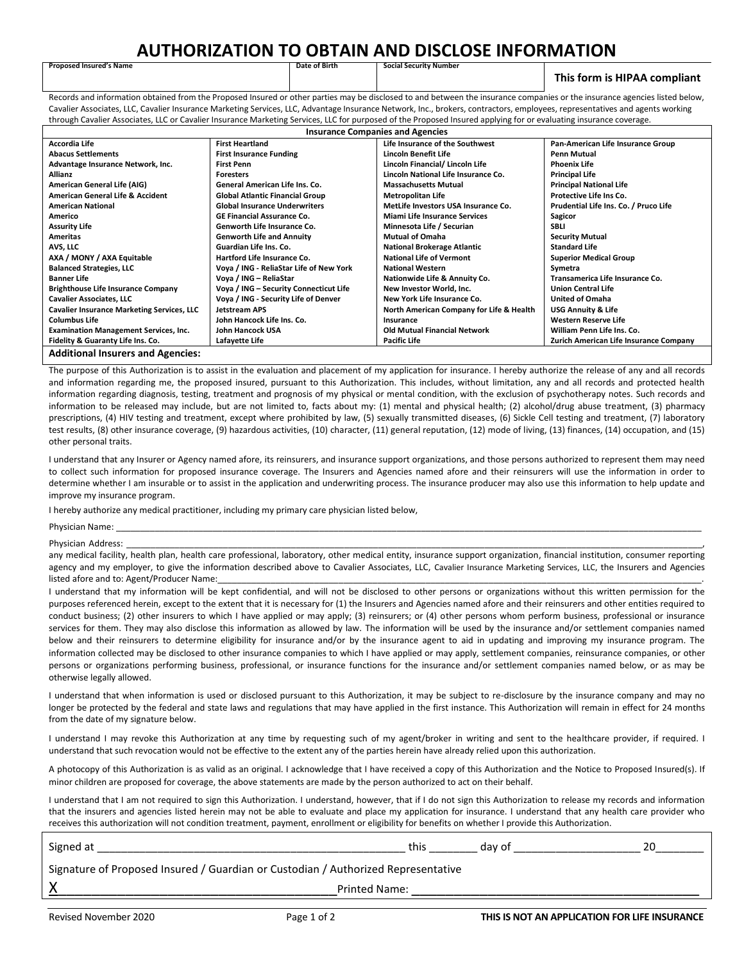### **AUTHORIZATION TO OBTAIN AND DISCLOSE INFORMATION**

#### **This form is HIPAA compliant**

Records and information obtained from the Proposed Insured or other parties may be disclosed to and between the insurance companies or the insurance agencies listed below. Cavalier Associates, LLC, Cavalier Insurance Marketing Services, LLC, Advantage Insurance Network, Inc., brokers, contractors, employees, representatives and agents working through Cavalier Associates, LLC or Cavalier Insurance Marketing Services, LLC for purposed of the Proposed Insured applying for or evaluating insurance coverage.

| <b>Insurance Companies and Agencies</b>           |                                         |                                          |                                        |  |
|---------------------------------------------------|-----------------------------------------|------------------------------------------|----------------------------------------|--|
| <b>Accordia Life</b>                              | <b>First Heartland</b>                  | Life Insurance of the Southwest          | Pan-American Life Insurance Group      |  |
| <b>Abacus Settlements</b>                         | <b>First Insurance Funding</b>          | Lincoln Benefit Life                     | Penn Mutual                            |  |
| Advantage Insurance Network, Inc.                 | <b>First Penn</b>                       | Lincoln Financial/ Lincoln Life          | <b>Phoenix Life</b>                    |  |
| <b>Allianz</b>                                    | <b>Foresters</b>                        | Lincoln National Life Insurance Co.      | <b>Principal Life</b>                  |  |
| American General Life (AIG)                       | General American Life Ins. Co.          | <b>Massachusetts Mutual</b>              | <b>Principal National Life</b>         |  |
| American General Life & Accident                  | <b>Global Atlantic Financial Group</b>  | <b>Metropolitan Life</b>                 | Protective Life Ins Co.                |  |
| <b>American National</b>                          | <b>Global Insurance Underwriters</b>    | MetLife Investors USA Insurance Co.      | Prudential Life Ins. Co. / Pruco Life  |  |
| Americo                                           | <b>GE Financial Assurance Co.</b>       | <b>Miami Life Insurance Services</b>     | Sagicor                                |  |
| <b>Assurity Life</b>                              | Genworth Life Insurance Co.             | Minnesota Life / Securian                | <b>SBLI</b>                            |  |
| <b>Ameritas</b>                                   | <b>Genworth Life and Annuity</b>        | <b>Mutual of Omaha</b>                   | <b>Security Mutual</b>                 |  |
| AVS, LLC                                          | Guardian Life Ins. Co.                  | <b>National Brokerage Atlantic</b>       | <b>Standard Life</b>                   |  |
| AXA / MONY / AXA Equitable                        | Hartford Life Insurance Co.             | <b>National Life of Vermont</b>          | <b>Superior Medical Group</b>          |  |
| <b>Balanced Strategies, LLC</b>                   | Voya / ING - ReliaStar Life of New York | <b>National Western</b>                  | Symetra                                |  |
| <b>Banner Life</b>                                | Voya / ING - ReliaStar                  | Nationwide Life & Annuity Co.            | Transamerica Life Insurance Co.        |  |
| <b>Brighthouse Life Insurance Company</b>         | Voya / ING - Security Connecticut Life  | New Investor World, Inc.                 | <b>Union Central Life</b>              |  |
| <b>Cavalier Associates, LLC</b>                   | Voya / ING - Security Life of Denver    | New York Life Insurance Co.              | <b>United of Omaha</b>                 |  |
| <b>Cavalier Insurance Marketing Services, LLC</b> | <b>Jetstream APS</b>                    | North American Company for Life & Health | <b>USG Annuity &amp; Life</b>          |  |
| <b>Columbus Life</b>                              | John Hancock Life Ins. Co.              | Insurance                                | <b>Western Reserve Life</b>            |  |
| <b>Examination Management Services, Inc.</b>      | John Hancock USA                        | <b>Old Mutual Financial Network</b>      | William Penn Life Ins. Co.             |  |
| Fidelity & Guaranty Life Ins. Co.                 | Lafayette Life                          | <b>Pacific Life</b>                      | Zurich American Life Insurance Company |  |
| <b>Additional Insurers and Agencies:</b>          |                                         |                                          |                                        |  |

The purpose of this Authorization is to assist in the evaluation and placement of my application for insurance. I hereby authorize the release of any and all records and information regarding me, the proposed insured, pursuant to this Authorization. This includes, without limitation, any and all records and protected health information regarding diagnosis, testing, treatment and prognosis of my physical or mental condition, with the exclusion of psychotherapy notes. Such records and information to be released may include, but are not limited to, facts about my: (1) mental and physical health; (2) alcohol/drug abuse treatment, (3) pharmacy prescriptions, (4) HIV testing and treatment, except where prohibited by law, (5) sexually transmitted diseases, (6) Sickle Cell testing and treatment, (7) laboratory test results, (8) other insurance coverage, (9) hazardous activities, (10) character, (11) general reputation, (12) mode of living, (13) finances, (14) occupation, and (15) other personal traits.

I understand that any Insurer or Agency named afore, its reinsurers, and insurance support organizations, and those persons authorized to represent them may need to collect such information for proposed insurance coverage. The Insurers and Agencies named afore and their reinsurers will use the information in order to determine whether I am insurable or to assist in the application and underwriting process. The insurance producer may also use this information to help update and improve my insurance program.

I hereby authorize any medical practitioner, including my primary care physician listed below,

Physician Name: \_\_\_\_\_\_\_\_\_\_\_\_\_\_\_\_\_\_\_\_\_\_\_\_\_\_\_\_\_\_\_\_\_\_\_\_\_\_\_\_\_\_\_\_\_\_\_\_\_\_\_\_\_\_\_\_\_\_\_\_\_\_\_\_\_\_\_\_\_\_\_\_\_\_\_\_\_\_\_\_\_\_\_\_\_\_\_\_\_\_\_\_\_\_\_\_\_\_\_\_\_\_\_\_\_\_\_\_\_\_\_\_\_\_\_\_\_\_\_\_\_

Physician Address: \_\_\_\_\_\_\_\_\_\_\_\_\_\_\_\_\_\_\_\_\_\_\_\_\_\_\_\_\_\_\_\_\_\_\_\_\_\_\_\_\_\_\_\_\_\_\_\_\_\_\_\_\_\_\_\_\_\_\_\_\_\_\_\_\_\_\_\_\_\_\_\_\_\_\_\_\_\_\_\_\_\_\_\_\_\_\_\_\_\_\_\_\_\_\_\_\_\_\_\_\_\_\_\_\_\_\_\_\_\_\_\_\_\_\_\_\_\_\_,

**Proposed Insured's Name** 

any medical facility, health plan, health care professional, laboratory, other medical entity, insurance support organization, financial institution, consumer reporting agency and my employer, to give the information described above to Cavalier Associates, LLC, Cavalier Insurance Marketing Services, LLC, the Insurers and Agencies listed afore and to: Agent/Producer Name:

I understand that my information will be kept confidential, and will not be disclosed to other persons or organizations without this written permission for the purposes referenced herein, except to the extent that it is necessary for (1) the Insurers and Agencies named afore and their reinsurers and other entities required to conduct business; (2) other insurers to which I have applied or may apply; (3) reinsurers; or (4) other persons whom perform business, professional or insurance services for them. They may also disclose this information as allowed by law. The information will be used by the insurance and/or settlement companies named below and their reinsurers to determine eligibility for insurance and/or by the insurance agent to aid in updating and improving my insurance program. The information collected may be disclosed to other insurance companies to which I have applied or may apply, settlement companies, reinsurance companies, or other persons or organizations performing business, professional, or insurance functions for the insurance and/or settlement companies named below, or as may be otherwise legally allowed.

I understand that when information is used or disclosed pursuant to this Authorization, it may be subject to re-disclosure by the insurance company and may no longer be protected by the federal and state laws and regulations that may have applied in the first instance. This Authorization will remain in effect for 24 months from the date of my signature below.

I understand I may revoke this Authorization at any time by requesting such of my agent/broker in writing and sent to the healthcare provider, if required. I understand that such revocation would not be effective to the extent any of the parties herein have already relied upon this authorization.

A photocopy of this Authorization is as valid as an original. I acknowledge that I have received a copy of this Authorization and the Notice to Proposed Insured(s). If minor children are proposed for coverage, the above statements are made by the person authorized to act on their behalf.

I understand that I am not required to sign this Authorization. I understand, however, that if I do not sign this Authorization to release my records and information that the insurers and agencies listed herein may not be able to evaluate and place my application for insurance. I understand that any health care provider who receives this authorization will not condition treatment, payment, enrollment or eligibility for benefits on whether I provide this Authorization.

| Signed at                                                                         | this | day of | 20 |  |  |
|-----------------------------------------------------------------------------------|------|--------|----|--|--|
| Signature of Proposed Insured / Guardian or Custodian / Authorized Representative |      |        |    |  |  |
| <b>Printed Name:</b>                                                              |      |        |    |  |  |
|                                                                                   |      |        |    |  |  |